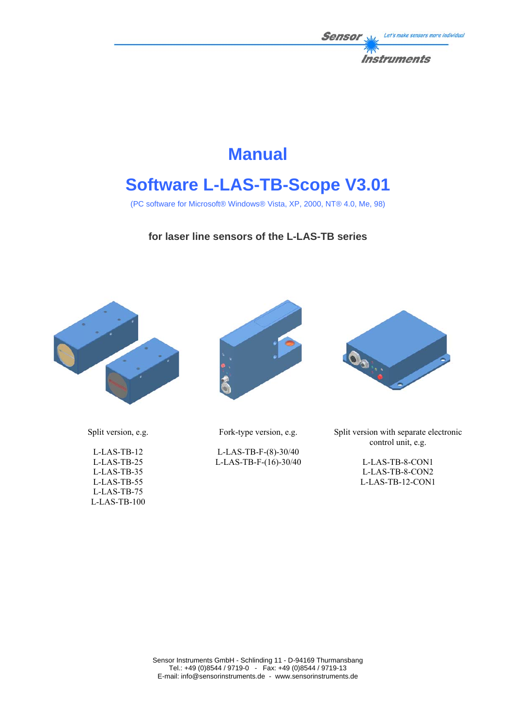

# **Manual**

# **Software L-LAS-TB-Scope V3.01**

(PC software for Microsoft® Windows® Vista, XP, 2000, NT® 4.0, Me, 98)

**for laser line sensors of the L-LAS-TB series** 



Split version, e.g.

L-LAS-TB-12 L-LAS-TB-25 L-LAS-TB-35 L-LAS-TB-55 L-LAS-TB-75 L-LAS-TB-100



Fork-type version, e.g.

L-LAS-TB-F-(8)-30/40 L-LAS-TB-F-(16)-30/40



Split version with separate electronic control unit, e.g.

> L-LAS-TB-8-CON1 L-LAS-TB-8-CON2 L-LAS-TB-12-CON1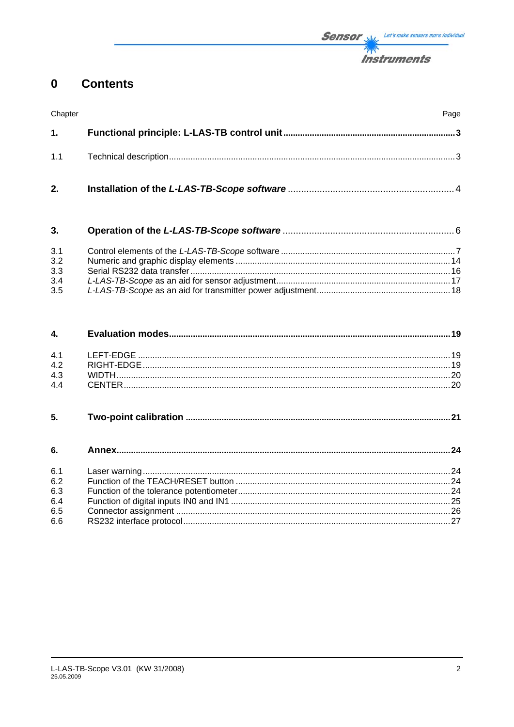#### $\mathbf 0$ **Contents**

| 2.      |      |
|---------|------|
|         |      |
| 1.      |      |
| Chapter | Page |

| 3.  |  |
|-----|--|
| 3.1 |  |
| 3.2 |  |
| 3.3 |  |
| 3.4 |  |
| 3.5 |  |

| 4.1 |  |
|-----|--|
| 4.2 |  |
| 4.3 |  |
| 4.4 |  |

| 5.    |                                        |          |
|-------|----------------------------------------|----------|
|       |                                        |          |
|       |                                        |          |
| 6.2   |                                        |          |
| 6.3   |                                        |          |
| $C_A$ | Eunction of digital inpute INQ and IN4 | $\Omega$ |

| 6.3 |  |
|-----|--|
| 6.4 |  |
| 6.5 |  |
| 6.6 |  |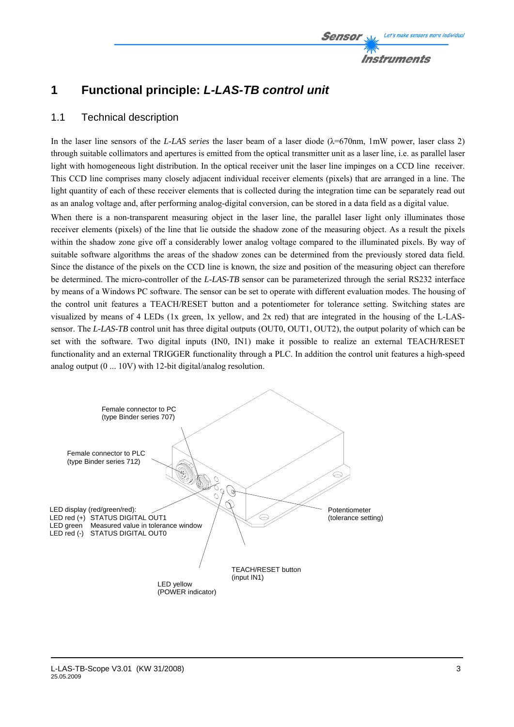

# **1 Functional principle:** *L-LAS-TB control unit*

### 1.1 Technical description

In the laser line sensors of the *L-LAS series* the laser beam of a laser diode (λ=670nm, 1mW power, laser class 2) through suitable collimators and apertures is emitted from the optical transmitter unit as a laser line, i.e. as parallel laser light with homogeneous light distribution. In the optical receiver unit the laser line impinges on a CCD line receiver. This CCD line comprises many closely adjacent individual receiver elements (pixels) that are arranged in a line. The light quantity of each of these receiver elements that is collected during the integration time can be separately read out as an analog voltage and, after performing analog-digital conversion, can be stored in a data field as a digital value.

When there is a non-transparent measuring object in the laser line, the parallel laser light only illuminates those receiver elements (pixels) of the line that lie outside the shadow zone of the measuring object. As a result the pixels within the shadow zone give off a considerably lower analog voltage compared to the illuminated pixels. By way of suitable software algorithms the areas of the shadow zones can be determined from the previously stored data field. Since the distance of the pixels on the CCD line is known, the size and position of the measuring object can therefore be determined. The micro-controller of the *L-LAS-TB* sensor can be parameterized through the serial RS232 interface by means of a Windows PC software. The sensor can be set to operate with different evaluation modes. The housing of the control unit features a TEACH/RESET button and a potentiometer for tolerance setting. Switching states are visualized by means of 4 LEDs (1x green, 1x yellow, and 2x red) that are integrated in the housing of the L-LASsensor. The *L-LAS-TB* control unit has three digital outputs (OUT0, OUT1, OUT2), the output polarity of which can be set with the software. Two digital inputs (IN0, IN1) make it possible to realize an external TEACH/RESET functionality and an external TRIGGER functionality through a PLC. In addition the control unit features a high-speed analog output (0 ... 10V) with 12-bit digital/analog resolution.

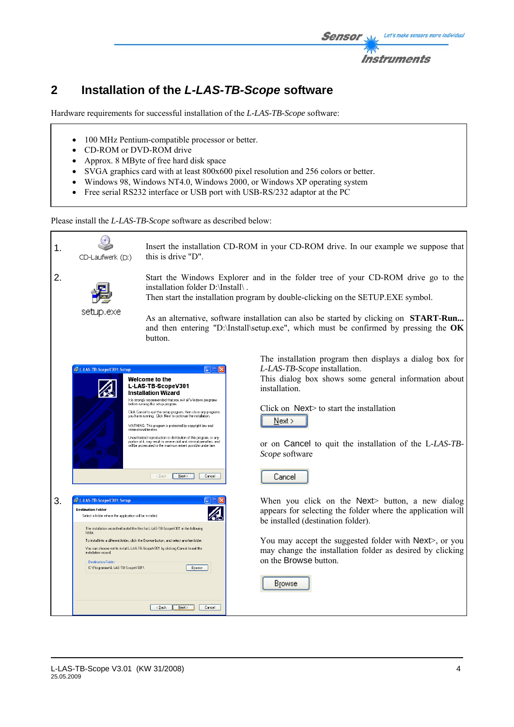

# **2 Installation of the** *L-LAS-TB-Scope* **software**

Hardware requirements for successful installation of the *L-LAS-TB-Scope* software:

- 100 MHz Pentium-compatible processor or better.
- CD-ROM or DVD-ROM drive
- Approx. 8 MByte of free hard disk space
- SVGA graphics card with at least 800x600 pixel resolution and 256 colors or better.
- Windows 98, Windows NT4.0, Windows 2000, or Windows XP operating system
- Free serial RS232 interface or USB port with USB-RS/232 adaptor at the PC

Please install the *L-LAS-TB-Scope* software as described below:

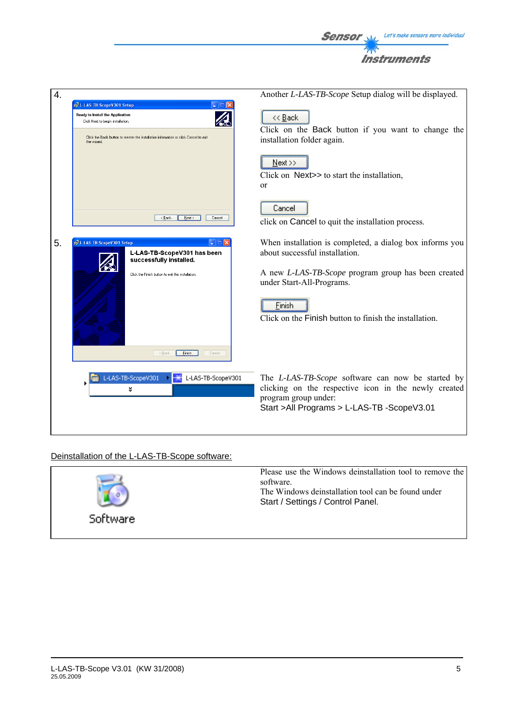

Click on the Back button if you want to change the installation folder again.



Click on Next>> to start the installation, or



click on Cancel to quit the installation process.

5. When installation is completed, a dialog box informs you  $\Box$  UN When installation is completed, a dialog box informs you about successful installation.

> A new *L-LAS-TB-Scope* program group has been created under Start-All-Programs.



Click on the Finish button to finish the installation.

The *L-LAS-TB-Scope* software can now be started by clicking on the respective icon in the newly created program group under: Start >All Programs > L-LAS-TB -ScopeV3.01

#### Deinstallation of the L-LAS-TB-Scope software:

**ED** L-LAS-TB-ScopeV301

¥

L-LAS-TB-ScopeV301 Setup

.<br>Ready to Install the Application

Click Next to begin installation

Click the Back button to reenter the installation information or click Cancel to exit

 $\sqrt{\frac{1}{2}\text{ack}}$   $\sqrt{\frac{5}{2}}$   $\sqrt{\frac{5}{2}}$   $\sqrt{\frac{5}{2}}$   $\sqrt{\frac{1}{2}}$   $\sqrt{\frac{1}{2}}$   $\sqrt{\frac{1}{2}}$   $\sqrt{\frac{1}{2}}$   $\sqrt{\frac{1}{2}}$   $\sqrt{\frac{1}{2}}$   $\sqrt{\frac{1}{2}}$   $\sqrt{\frac{1}{2}}$   $\sqrt{\frac{1}{2}}$   $\sqrt{\frac{1}{2}}$   $\sqrt{\frac{1}{2}}$   $\sqrt{\frac{1}{2}}$   $\sqrt{\frac{1}{2}}$   $\sqrt{\frac{1}{2}}$ 

 $\leftarrow \underline{\text{Back}} \quad \begin{tabular}{|c|c|c|} \hline \textbf{Einish} & \textbf{Cancel} \end{tabular}$ 

L-LAS-TB-ScopeV301

纂

successfully installed. Click the Finish button to exit this installation

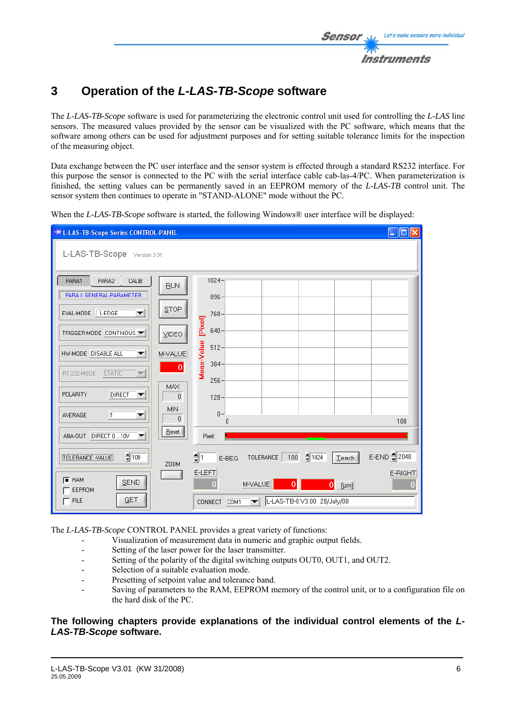# **3 Operation of the** *L-LAS-TB-Scope* **software**

The *L-LAS-TB-Scope* software is used for parameterizing the electronic control unit used for controlling the *L-LAS* line sensors. The measured values provided by the sensor can be visualized with the PC software, which means that the software among others can be used for adjustment purposes and for setting suitable tolerance limits for the inspection of the measuring object.

Data exchange between the PC user interface and the sensor system is effected through a standard RS232 interface. For this purpose the sensor is connected to the PC with the serial interface cable cab-las-4/PC. When parameterization is finished, the setting values can be permanently saved in an EEPROM memory of the *L-LAS-TB* control unit. The sensor system then continues to operate in "STAND-ALONE" mode without the PC.

When the *L-LAS-TB-Scope* software is started, the following Windows<sup>®</sup> user interface will be displayed:



The *L-LAS-TB-Scope* CONTROL PANEL provides a great variety of functions:

- Visualization of measurement data in numeric and graphic output fields.
- Setting of the laser power for the laser transmitter.
- Setting of the polarity of the digital switching outputs OUT0, OUT1, and OUT2.
- Selection of a suitable evaluation mode.
- Presetting of setpoint value and tolerance band.
- Saving of parameters to the RAM, EEPROM memory of the control unit, or to a configuration file on the hard disk of the PC.

#### **The following chapters provide explanations of the individual control elements of the** *L-LAS-TB-Scope* **software.**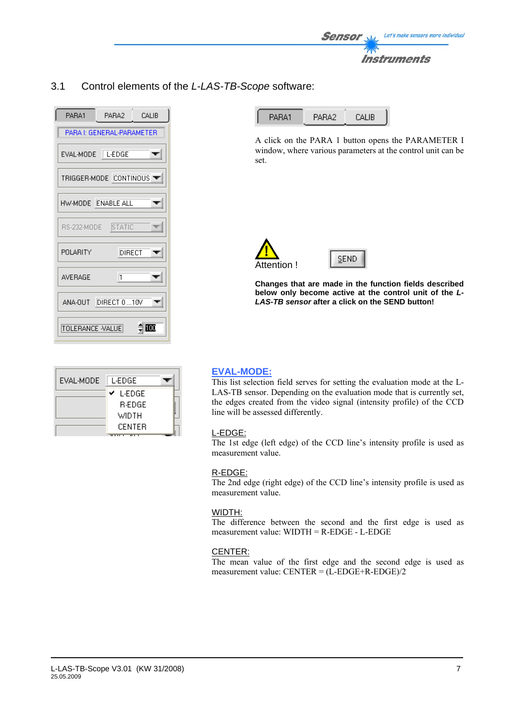

# 3.1 Control elements of the *L-LAS-TB-Scope* software:



| EVAL-MODE | L-EDGE.       |  |
|-----------|---------------|--|
|           | L-EDGE<br>✓   |  |
|           | <b>R-EDGE</b> |  |
|           | WIDTH         |  |
|           | CENTER        |  |
|           |               |  |

PARA1 PARA2 CALIB

A click on the PARA 1 button opens the PARAMETER I window, where various parameters at the control unit can be set.



**Changes that are made in the function fields described below only become active at the control unit of the** *L-LAS-TB sensor* **after a click on the SEND button!**

#### **EVAL-MODE:**

This list selection field serves for setting the evaluation mode at the L-LAS-TB sensor. Depending on the evaluation mode that is currently set, the edges created from the video signal (intensity profile) of the CCD line will be assessed differently.

#### L-EDGE:

The 1st edge (left edge) of the CCD line's intensity profile is used as measurement value.

#### R-EDGE:

The 2nd edge (right edge) of the CCD line's intensity profile is used as measurement value.

#### WIDTH:

The difference between the second and the first edge is used as measurement value: WIDTH = R-EDGE - L-EDGE

#### CENTER:

The mean value of the first edge and the second edge is used as measurement value: CENTER = (L-EDGE+R-EDGE)/2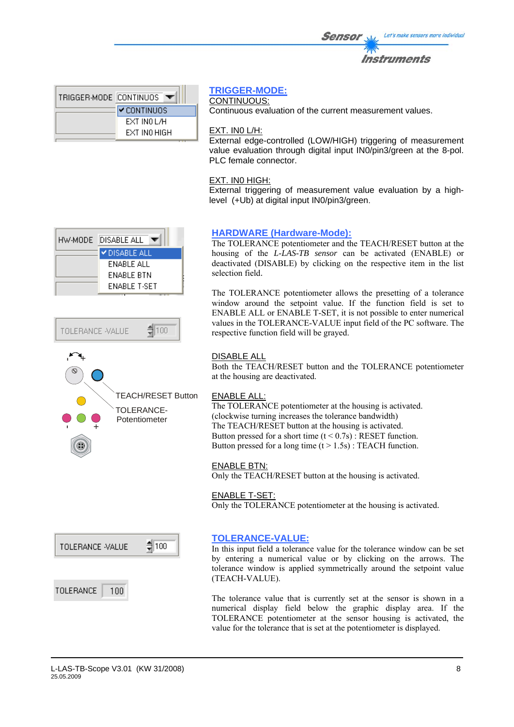

#### **TRIGGER-MODE:** CONTINUOUS:

Continuous evaluation of the current measurement values.

#### EXT. IN0 L/H:

External edge-controlled (LOW/HIGH) triggering of measurement value evaluation through digital input IN0/pin3/green at the 8-pol. PLC female connector.

#### EXT. IN0 HIGH:

External triggering of measurement value evaluation by a highlevel (+Ub) at digital input IN0/pin3/green.

# HW-MODE DISABLE ALL DISABLE ALL **ENABLE ALL ENABLE BTN ENABLE T-SET**





#### **HARDWARE (Hardware-Mode):**

The TOLERANCE potentiometer and the TEACH/RESET button at the housing of the *L-LAS-TB sensor* can be activated (ENABLE) or deactivated (DISABLE) by clicking on the respective item in the list selection field.

The TOLERANCE potentiometer allows the presetting of a tolerance window around the setpoint value. If the function field is set to ENABLE ALL or ENABLE T-SET, it is not possible to enter numerical values in the TOLERANCE-VALUE input field of the PC software. The respective function field will be grayed.

#### DISABLE ALL

Both the TEACH/RESET button and the TOLERANCE potentiometer at the housing are deactivated.

#### ENABLE ALL:

The TOLERANCE potentiometer at the housing is activated. (clockwise turning increases the tolerance bandwidth) The TEACH/RESET button at the housing is activated. Button pressed for a short time  $(t < 0.7s)$ : RESET function. Button pressed for a long time  $(t > 1.5s)$ : TEACH function.

#### ENABLE BTN:

Only the TEACH/RESET button at the housing is activated.

#### ENABLE T-SET:

Only the TOLERANCE potentiometer at the housing is activated.

#### **TOLERANCE-VALUE:**

In this input field a tolerance value for the tolerance window can be set by entering a numerical value or by clicking on the arrows. The tolerance window is applied symmetrically around the setpoint value (TEACH-VALUE).

The tolerance value that is currently set at the sensor is shown in a numerical display field below the graphic display area. If the TOLERANCE potentiometer at the sensor housing is activated, the value for the tolerance that is set at the potentiometer is displayed.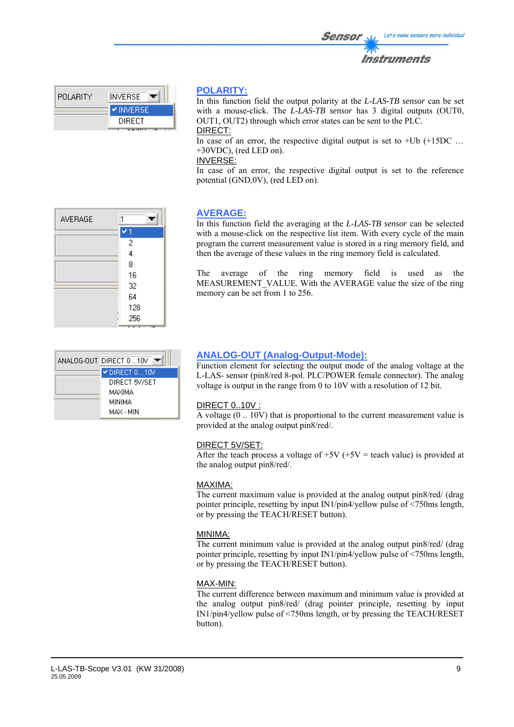| POLARITY | INVERSE.        |
|----------|-----------------|
|          | <b>VINVERSE</b> |
|          | DIRECT          |
|          |                 |

### **POLARITY:**

In this function field the output polarity at the *L-LAS-TB sensor* can be set with a mouse-click. The *L-LAS-TB sensor* has 3 digital outputs (OUT0, OUT1, OUT2) through which error states can be sent to the PLC. DIRECT:

In case of an error, the respective digital output is set to  $+Ub$  ( $+15DC$  ... +30VDC), (red LED on).

INVERSE:

In case of an error, the respective digital output is set to the reference potential (GND,0V), (red LED on).



|--|--|--|--|--|--|

In this function field the averaging at the *L-LAS-TB sensor* can be selected with a mouse-click on the respective list item. With every cycle of the main program the current measurement value is stored in a ring memory field, and then the average of these values in the ring memory field is calculated.

The average of the ring memory field is used as the MEASUREMENT VALUE. With the AVERAGE value the size of the ring memory can be set from 1 to 256.

| ANALOG-OUT DIRECT 0  10V           |
|------------------------------------|
| $\blacktriangleright$ DIRECT 0 10V |
| DIRECT 5V/SET                      |
| MAXIMA                             |
| MINIMA                             |
| MAX - MIN                          |

### **ANALOG-OUT (Analog-Output-Mode):**

Function element for selecting the output mode of the analog voltage at the L-LAS- sensor (pin8/red 8-pol. PLC/POWER female connector). The analog voltage is output in the range from 0 to 10V with a resolution of 12 bit.

#### DIRECT 0..10V :

A voltage (0 .. 10V) that is proportional to the current measurement value is provided at the analog output pin8/red/.

#### DIRECT 5V/SET:

After the teach process a voltage of  $+5V$  ( $+5V$  = teach value) is provided at the analog output pin8/red/.

#### MAXIMA:

The current maximum value is provided at the analog output pin8/red/ (drag pointer principle, resetting by input IN1/pin4/yellow pulse of <750ms length, or by pressing the TEACH/RESET button).

#### MINIMA:

The current minimum value is provided at the analog output pin8/red/ (drag pointer principle, resetting by input IN1/pin4/yellow pulse of <750ms length, or by pressing the TEACH/RESET button).

#### MAX-MIN:

The current difference between maximum and minimum value is provided at the analog output pin8/red/ (drag pointer principle, resetting by input IN1/pin4/yellow pulse of <750ms length, or by pressing the TEACH/RESET button).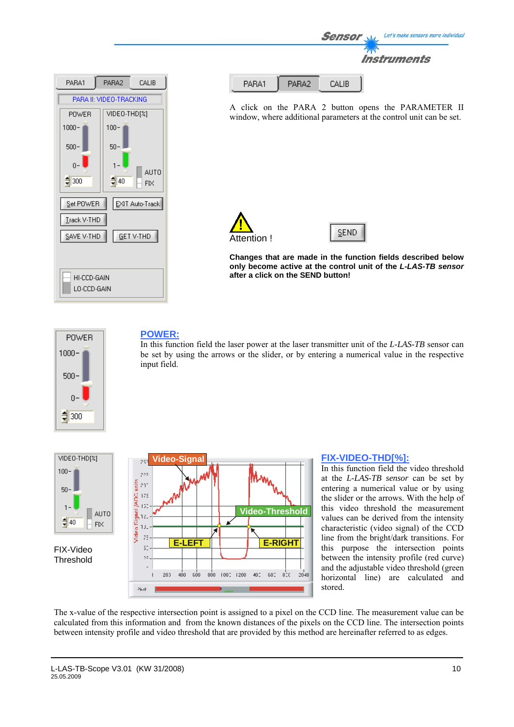

| PARA1 | 342. | CALIR. |
|-------|------|--------|

A click on the PARA 2 button opens the PARAMETER II window, where additional parameters at the control unit can be set.

Sensor

Let's make sensors more individual

Instruments





**Changes that are made in the function fields described below only become active at the control unit of the** *L-LAS-TB sensor* **after a click on the SEND button!**



#### **POWER:**

In this function field the laser power at the laser transmitter unit of the *L-LAS-TB* sensor can be set by using the arrows or the slider, or by entering a numerical value in the respective input field.



#### **FIX-VIDEO-THD[%]:**

In this function field the video threshold at the *L-LAS-TB sensor* can be set by entering a numerical value or by using the slider or the arrows. With the help of this video threshold the measurement values can be derived from the intensity characteristic (video signal) of the CCD line from the bright/dark transitions. For this purpose the intersection points between the intensity profile (red curve) and the adjustable video threshold (green horizontal line) are calculated and stored.

The x-value of the respective intersection point is assigned to a pixel on the CCD line. The measurement value can be calculated from this information and from the known distances of the pixels on the CCD line. The intersection points between intensity profile and video threshold that are provided by this method are hereinafter referred to as edges.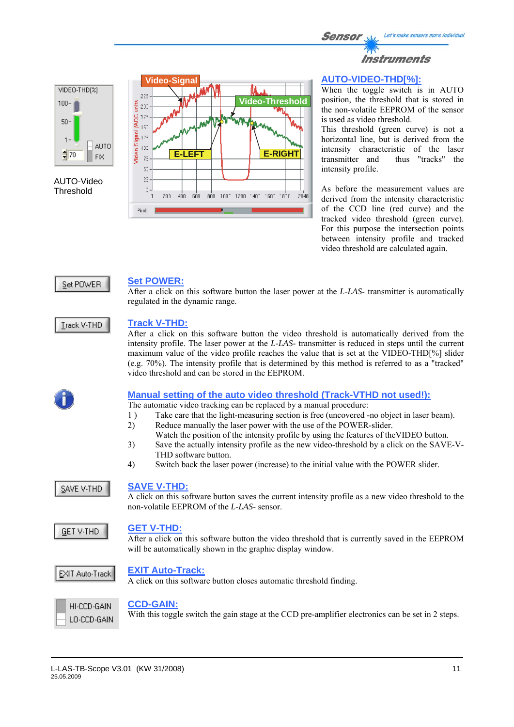



AUTO-Video **Threshold** 



**AUTO-VIDEO-THD[%]:**

When the toggle switch is in AUTO position, the threshold that is stored in the non-volatile EEPROM of the sensor is used as video threshold.

This threshold (green curve) is not a horizontal line, but is derived from the intensity characteristic of the laser transmitter and thus "tracks" the intensity profile.

As before the measurement values are derived from the intensity characteristic of the CCD line (red curve) and the tracked video threshold (green curve). For this purpose the intersection points between intensity profile and tracked video threshold are calculated again.

#### Set POWER

#### **Set POWER:**

After a click on this software button the laser power at the *L-LAS*- transmitter is automatically regulated in the dynamic range.

#### Track V-THD

#### **Track V-THD:**

After a click on this software button the video threshold is automatically derived from the intensity profile. The laser power at the *L-LAS-* transmitter is reduced in steps until the current maximum value of the video profile reaches the value that is set at the VIDEO-THD[%] slider (e.g. 70%). The intensity profile that is determined by this method is referred to as a "tracked" video threshold and can be stored in the EEPROM.

#### **Manual setting of the auto video threshold (Track-VTHD not used!):**

- The automatic video tracking can be replaced by a manual procedure:
- 1 ) Take care that the light-measuring section is free (uncovered -no object in laser beam). 2) Reduce manually the laser power with the use of the POWER-slider.
- Watch the position of the intensity profile by using the features of theVIDEO button.
- 3) Save the actually intensity profile as the new video-threshold by a click on the SAVE-V- THD software button.
- 4) Switch back the laser power (increase) to the initial value with the POWER slider.

SAVE V-THD

#### **SAVE V-THD:**

A click on this software button saves the current intensity profile as a new video threshold to the non-volatile EEPROM of the *L-LAS-* sensor.

**GET V-THD** 

#### **GET V-THD:**

After a click on this software button the video threshold that is currently saved in the EEPROM will be automatically shown in the graphic display window.

#### EXIT Auto-Track

**EXIT Auto-Track:**

A click on this software button closes automatic threshold finding.



#### **CCD-GAIN:**

With this toggle switch the gain stage at the CCD pre-amplifier electronics can be set in 2 steps.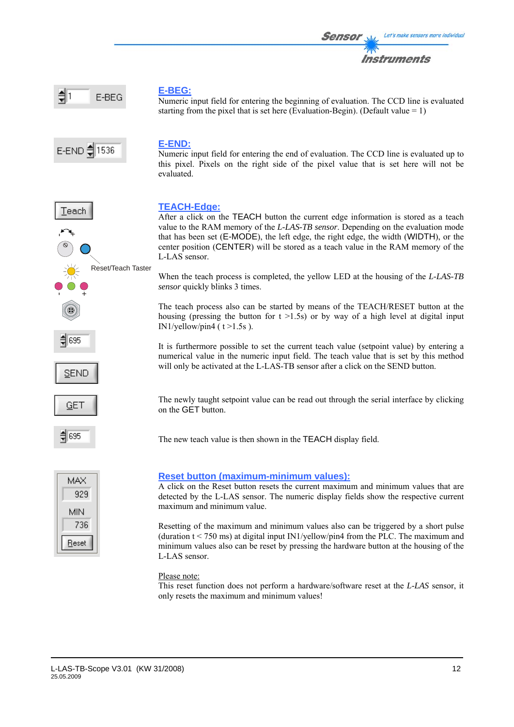



#### **E-BEG:**

Numeric input field for entering the beginning of evaluation. The CCD line is evaluated starting from the pixel that is set here (Evaluation-Begin). (Default value  $= 1$ )



+

Reset/Teach Taster

-+

Teach

-

 $\frac{4}{3}$  695

SEND

GET

( 895

#### **E-END:**

Numeric input field for entering the end of evaluation. The CCD line is evaluated up to this pixel. Pixels on the right side of the pixel value that is set here will not be evaluated.

#### **TEACH-Edge:**

After a click on the TEACH button the current edge information is stored as a teach value to the RAM memory of the *L-LAS-TB sensor*. Depending on the evaluation mode that has been set (E-MODE), the left edge, the right edge, the width (WIDTH), or the center position (CENTER) will be stored as a teach value in the RAM memory of the L-LAS sensor.

When the teach process is completed, the yellow LED at the housing of the *L-LAS-TB sensor* quickly blinks 3 times.

The teach process also can be started by means of the TEACH/RESET button at the housing (pressing the button for  $t > 1.5s$ ) or by way of a high level at digital input IN1/yellow/pin4 ( $t > 1.5s$ ).

It is furthermore possible to set the current teach value (setpoint value) by entering a numerical value in the numeric input field. The teach value that is set by this method will only be activated at the L-LAS-TB sensor after a click on the SEND button.

The newly taught setpoint value can be read out through the serial interface by clicking on the GET button.

The new teach value is then shown in the TEACH display field.



#### **Reset button (maximum-minimum values):**

A click on the Reset button resets the current maximum and minimum values that are detected by the L-LAS sensor. The numeric display fields show the respective current maximum and minimum value.

Resetting of the maximum and minimum values also can be triggered by a short pulse (duration  $t < 750$  ms) at digital input IN1/yellow/pin4 from the PLC. The maximum and minimum values also can be reset by pressing the hardware button at the housing of the L-LAS sensor.

#### Please note:

This reset function does not perform a hardware/software reset at the *L-LAS* sensor, it only resets the maximum and minimum values!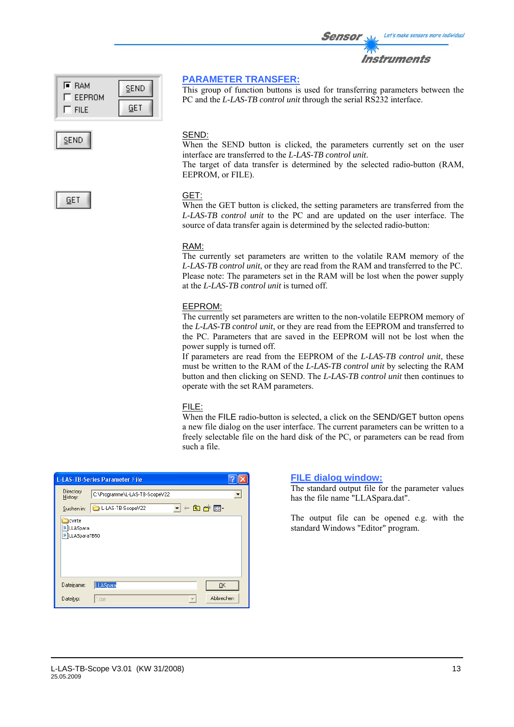| l≣ RAM<br>EEPROM | SEND |
|------------------|------|
| <b>FILF</b>      | GE T |

**SEND** 

GET

#### **PARAMETER TRANSFER:**

This group of function buttons is used for transferring parameters between the PC and the *L-LAS-TB control unit* through the serial RS232 interface.

#### SEND:

When the SEND button is clicked, the parameters currently set on the user interface are transferred to the *L-LAS-TB control unit*.

The target of data transfer is determined by the selected radio-button (RAM, EEPROM, or FILE).

#### GET:

When the GET button is clicked, the setting parameters are transferred from the *L-LAS-TB control unit* to the PC and are updated on the user interface. The source of data transfer again is determined by the selected radio-button:

#### RAM:

The currently set parameters are written to the volatile RAM memory of the *L-LAS-TB control unit*, or they are read from the RAM and transferred to the PC. Please note: The parameters set in the RAM will be lost when the power supply at the *L-LAS-TB control unit* is turned off.

#### EEPROM:

The currently set parameters are written to the non-volatile EEPROM memory of the *L-LAS-TB control unit*, or they are read from the EEPROM and transferred to the PC. Parameters that are saved in the EEPROM will not be lost when the power supply is turned off.

If parameters are read from the EEPROM of the *L-LAS-TB control unit*, these must be written to the RAM of the *L-LAS-TB control unit* by selecting the RAM button and then clicking on SEND. The *L-LAS-TB control unit* then continues to operate with the set RAM parameters.

#### FILE:

When the FILE radio-button is selected, a click on the SEND/GET button opens a new file dialog on the user interface. The current parameters can be written to a freely selectable file on the hard disk of the PC, or parameters can be read from such a file.

|                                    | <b>L-LAS-TB-Series Parameter File</b>      |                          |
|------------------------------------|--------------------------------------------|--------------------------|
| Directory<br>History:              | C:\Programme\L-LAS-TB-ScopeV22             | $\overline{\phantom{a}}$ |
| Suchen in:                         | ←自合画・<br>L-LAS-TB-ScopeV22<br>$\mathbf{r}$ |                          |
| cvirte<br>LLASpara<br>LLASparaTB50 |                                            |                          |
| Dateiname:                         | LLASpara                                   | QK                       |
| Dateityp:                          | *, dat                                     | Abbrechen                |

#### **FILE dialog window:**

The standard output file for the parameter values has the file name "LLASpara.dat".

The output file can be opened e.g. with the standard Windows "Editor" program.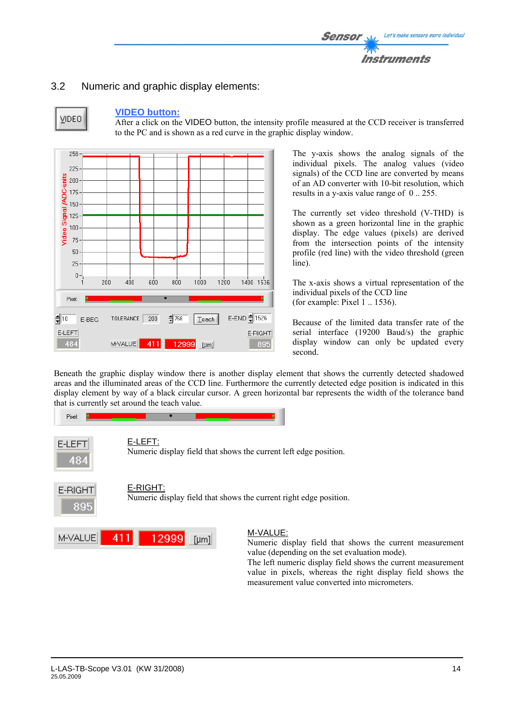# 3.2 Numeric and graphic display elements:



#### **VIDEO button:**

After a click on the VIDEO button, the intensity profile measured at the CCD receiver is transferred to the PC and is shown as a red curve in the graphic display window.



The y-axis shows the analog signals of the individual pixels. The analog values (video signals) of the CCD line are converted by means of an AD converter with 10-bit resolution, which results in a y-axis value range of 0 .. 255.

The currently set video threshold (V-THD) is shown as a green horizontal line in the graphic display. The edge values (pixels) are derived from the intersection points of the intensity profile (red line) with the video threshold (green line).

The x-axis shows a virtual representation of the individual pixels of the CCD line (for example: Pixel 1 .. 1536).

Because of the limited data transfer rate of the serial interface (19200 Baud/s) the graphic display window can only be updated every second.

Beneath the graphic display window there is another display element that shows the currently detected shadowed areas and the illuminated areas of the CCD line. Furthermore the currently detected edge position is indicated in this display element by way of a black circular cursor. A green horizontal bar represents the width of the tolerance band that is currently set around the teach value.



#### Numeric display field that shows the current measurement value (depending on the set evaluation mode).

The left numeric display field shows the current measurement value in pixels, whereas the right display field shows the measurement value converted into micrometers.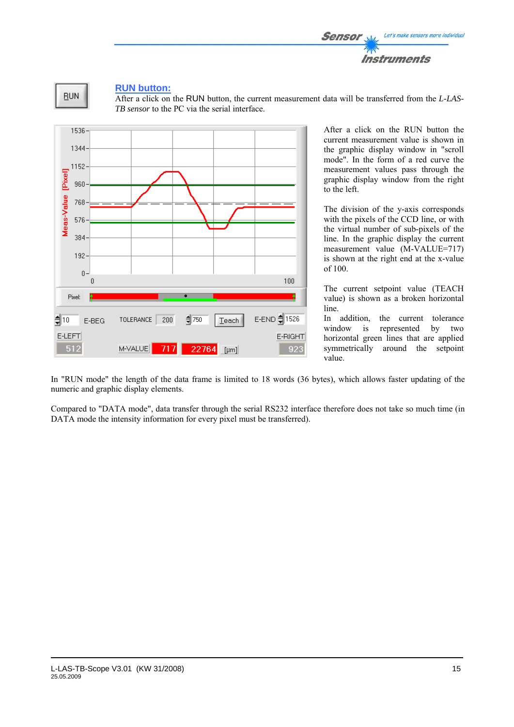



#### **RUN button:**

After a click on the RUN button, the current measurement data will be transferred from the *L-LAS-TB sensor* to the PC via the serial interface.



After a click on the RUN button the current measurement value is shown in the graphic display window in "scroll mode". In the form of a red curve the measurement values pass through the graphic display window from the right to the left.

The division of the y-axis corresponds with the pixels of the CCD line, or with the virtual number of sub-pixels of the line. In the graphic display the current measurement value (M-VALUE=717) is shown at the right end at the x-value of 100.

The current setpoint value (TEACH value) is shown as a broken horizontal line.

In addition, the current tolerance window is represented by two horizontal green lines that are applied symmetrically around the setpoint value.

In "RUN mode" the length of the data frame is limited to 18 words (36 bytes), which allows faster updating of the numeric and graphic display elements.

Compared to "DATA mode", data transfer through the serial RS232 interface therefore does not take so much time (in DATA mode the intensity information for every pixel must be transferred).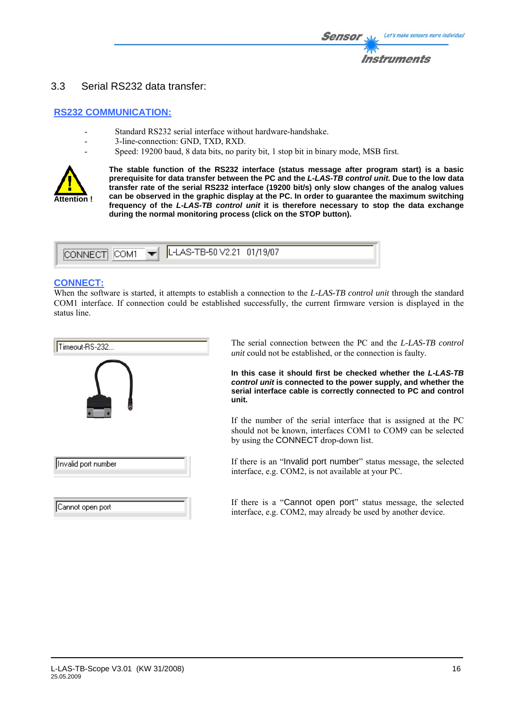### 3.3 Serial RS232 data transfer:

#### **RS232 COMMUNICATION:**

- Standard RS232 serial interface without hardware-handshake.
- 3-line-connection: GND, TXD, RXD.
- Speed: 19200 baud, 8 data bits, no parity bit, 1 stop bit in binary mode, MSB first.



**The stable function of the RS232 interface (status message after program start) is a basic prerequisite for data transfer between the PC and the** *L-LAS-TB control unit***. Due to the low data transfer rate of the serial RS232 interface (19200 bit/s) only slow changes of the analog values can be observed in the graphic display at the PC. In order to guarantee the maximum switching frequency of the** *L-LAS-TB control unit* **it is therefore necessary to stop the data exchange during the normal monitoring process (click on the STOP button).** 



#### **CONNECT:**

When the software is started, it attempts to establish a connection to the *L-LAS-TB control unit* through the standard COM1 interface. If connection could be established successfully, the current firmware version is displayed in the status line.



Cannot open port

The serial connection between the PC and the *L-LAS-TB control unit* could not be established, or the connection is faulty.

**In this case it should first be checked whether the** *L-LAS-TB control unit* **is connected to the power supply, and whether the**  serial interface cable is correctly connected to PC and control **unit.** 

If the number of the serial interface that is assigned at the PC should not be known, interfaces COM1 to COM9 can be selected by using the CONNECT drop-down list.

If there is an "Invalid port number" status message, the selected interface, e.g. COM2, is not available at your PC.

If there is a "Cannot open port" status message, the selected interface, e.g. COM2, may already be used by another device.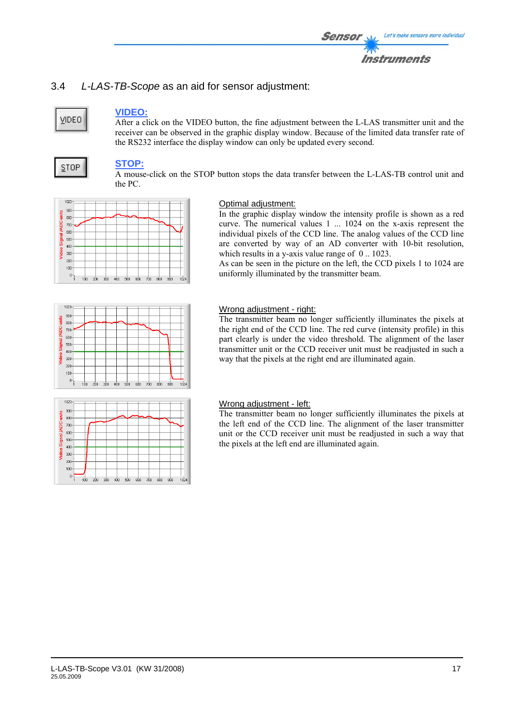# 3.4 *L-LAS-TB-Scope* as an aid for sensor adjustment:

# **VIDEO**

### **VIDEO:**

After a click on the VIDEO button, the fine adjustment between the L-LAS transmitter unit and the receiver can be observed in the graphic display window. Because of the limited data transfer rate of the RS232 interface the display window can only be updated every second.

# **STOP**

## **STOP:**

A mouse-click on the STOP button stops the data transfer between the L-LAS-TB control unit and the PC.



#### Optimal adjustment:

In the graphic display window the intensity profile is shown as a red curve. The numerical values 1 ... 1024 on the x-axis represent the individual pixels of the CCD line. The analog values of the CCD line are converted by way of an AD converter with 10-bit resolution, which results in a y-axis value range of  $0$ . 1023.

As can be seen in the picture on the left, the CCD pixels 1 to 1024 are uniformly illuminated by the transmitter beam.



 $500$ såo 700  $800$  $900$ 

#### Wrong adjustment - right:

The transmitter beam no longer sufficiently illuminates the pixels at the right end of the CCD line. The red curve (intensity profile) in this part clearly is under the video threshold. The alignment of the laser transmitter unit or the CCD receiver unit must be readjusted in such a way that the pixels at the right end are illuminated again.



 $300$ 

#### Wrong adjustment - left:

The transmitter beam no longer sufficiently illuminates the pixels at the left end of the CCD line. The alignment of the laser transmitter unit or the CCD receiver unit must be readjusted in such a way that the pixels at the left end are illuminated again.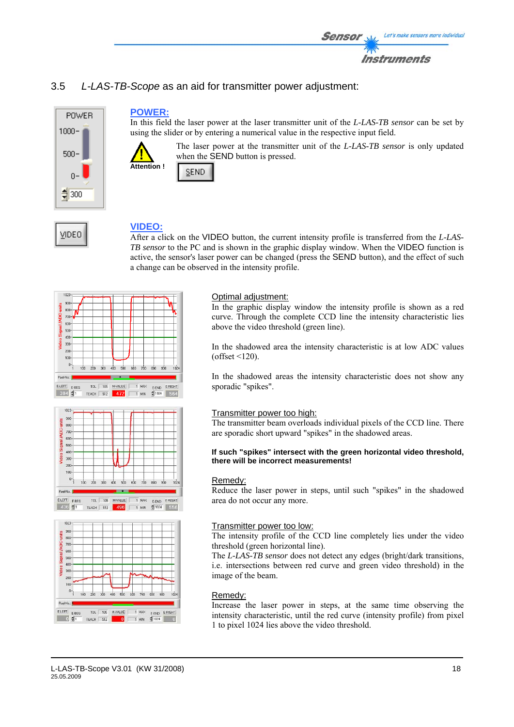

# 3.5 *L-LAS-TB-Scope* as an aid for transmitter power adjustment:



VIDEO

# **POWER:**

In this field the laser power at the laser transmitter unit of the *L-LAS-TB sensor* can be set by using the slider or by entering a numerical value in the respective input field.



The laser power at the transmitter unit of the *L-LAS-TB sensor* is only updated when the SEND button is pressed.



# **VIDEO:**

After a click on the VIDEO button, the current intensity profile is transferred from the *L-LAS-TB sensor* to the PC and is shown in the graphic display window. When the VIDEO function is active, the sensor's laser power can be changed (press the SEND button), and the effect of such a change can be observed in the intensity profile.



#### $1023$ -ann **ADC-units** 800  $\overline{700}$ ion. Signal ism.  $400$ Video 300 200 100  $0$ żù Pagel-No.: TOL | 105 M-VALUE  $\begin{array}{|c|c|c|c|}\hline -1 & \text{MAX} & \text{E-END} & \text{E-RIGH} \\ \hline & 1 & \text{MIN} & \frac{d}{2} & 1024 & 5556 \\ \hline \end{array}$ ELEFT EBEG TEACH 512 496 436 章1



#### Optimal adjustment:

In the graphic display window the intensity profile is shown as a red curve. Through the complete CCD line the intensity characteristic lies above the video threshold (green line).

In the shadowed area the intensity characteristic is at low ADC values  $(offset < 120)$ .

In the shadowed areas the intensity characteristic does not show any sporadic "spikes".

#### Transmitter power too high:

The transmitter beam overloads individual pixels of the CCD line. There are sporadic short upward "spikes" in the shadowed areas.

#### **If such "spikes" intersect with the green horizontal video threshold, there will be incorrect measurements!**

#### Remedy:

Reduce the laser power in steps, until such "spikes" in the shadowed area do not occur any more.

#### Transmitter power too low:

The intensity profile of the CCD line completely lies under the video threshold (green horizontal line).

The *L-LAS-TB sensor* does not detect any edges (bright/dark transitions, i.e. intersections between red curve and green video threshold) in the image of the beam.

#### Remedy:

Increase the laser power in steps, at the same time observing the intensity characteristic, until the red curve (intensity profile) from pixel 1 to pixel 1024 lies above the video threshold.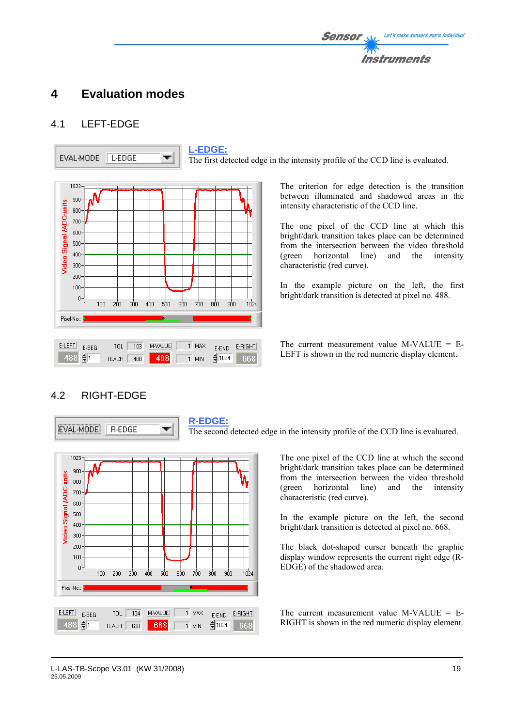# **4 Evaluation modes**

# 4.1 LEFT-EDGE



The first detected edge in the intensity profile of the CCD line is evaluated.

The criterion for edge detection is the transition between illuminated and shadowed areas in the intensity characteristic of the CCD line.

The one pixel of the CCD line at which this bright/dark transition takes place can be determined from the intersection between the video threshold (green horizontal line) and the intensity characteristic (red curve).

In the example picture on the left, the first bright/dark transition is detected at pixel no. 488.

The current measurement value M-VALUE  $=$  E-LEFT is shown in the red numeric display element.

# 4.2 RIGHT-EDGE

EVAL-MODE **R-EDGE**  **R-EDGE:**

The second detected edge in the intensity profile of the CCD line is evaluated.



▼

The one pixel of the CCD line at which the second bright/dark transition takes place can be determined from the intersection between the video threshold (green horizontal line) and the intensity characteristic (red curve).

In the example picture on the left, the second bright/dark transition is detected at pixel no. 668.

The black dot-shaped curser beneath the graphic display window represents the current right edge (R-EDGE) of the shadowed area.

The current measurement value  $M-VALUE = E-$ RIGHT is shown in the red numeric display element.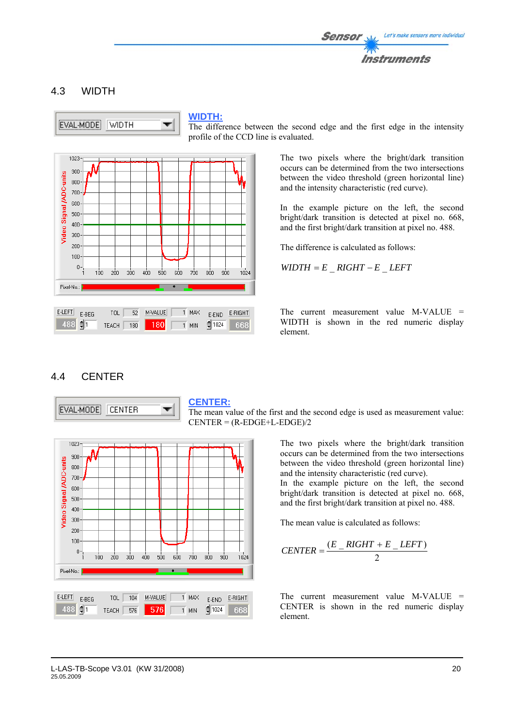

# 4.3 WIDTH



#### **WIDTH:**

The difference between the second edge and the first edge in the intensity profile of the CCD line is evaluated.



The two pixels where the bright/dark transition occurs can be determined from the two intersections between the video threshold (green horizontal line) and the intensity characteristic (red curve).

In the example picture on the left, the second bright/dark transition is detected at pixel no. 668, and the first bright/dark transition at pixel no. 488.

The difference is calculated as follows:

 $WIDTH = E$   $RIGHT - E$   $LEFT$ 

The current measurement value M-VALUE = WIDTH is shown in the red numeric display element.

#### 4.4 CENTER

 $1023 300<sub>1</sub>$ 

 $800 700 600 500 -$ 400  $300<sub>1</sub>$  $200$  $100 0 - 1$ 

Video Signal *IADC-units* 

Pixel-No.:

 $E$ -LEFT

 $488$   $\frac{5}{11}$ 

 $E-BEG$ 



#### **CENTER:**

800  $900$ 

 $1024$ 

 $1$  MAX

 $\overline{1}$  MIN

1024

E-END E-RIGHT

668

The mean value of the first and the second edge is used as measurement value:  $CENTER = (R-EDGE+L-EDGE)/2$ 

> The two pixels where the bright/dark transition occurs can be determined from the two intersections between the video threshold (green horizontal line) and the intensity characteristic (red curve).

> In the example picture on the left, the second bright/dark transition is detected at pixel no. 668, and the first bright/dark transition at pixel no. 488.

The mean value is calculated as follows:

$$
CENTER = \frac{(E_RIGHT + E_LLEFT)}{2}
$$

The current measurement value M-VALUE = CENTER is shown in the red numeric display element.

TOL  $\sqrt{104}$ 

TEACH 576

M-VALUE

576

 $100 200 -$ 300 400  $500$ 600 700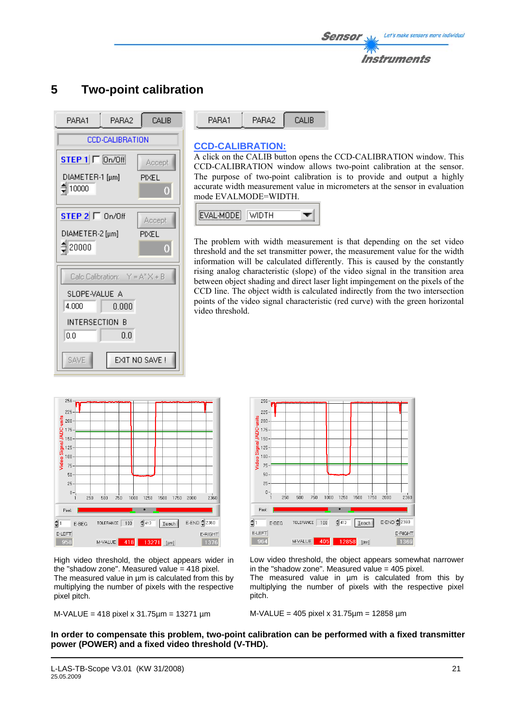

# **5 Two-point calibration**



#### PARA2 CALIB PARA1

### **CCD-CALIBRATION:**

A click on the CALIB button opens the CCD-CALIBRATION window. This CCD-CALIBRATION window allows two-point calibration at the sensor. The purpose of two-point calibration is to provide and output a highly accurate width measurement value in micrometers at the sensor in evaluation mode EVALMODE=WIDTH.

EVAL-MODE WIDTH ÷

The problem with width measurement is that depending on the set video threshold and the set transmitter power, the measurement value for the width information will be calculated differently. This is caused by the constantly rising analog characteristic (slope) of the video signal in the transition area between object shading and direct laser light impingement on the pixels of the CCD line. The object width is calculated indirectly from the two intersection points of the video signal characteristic (red curve) with the green horizontal video threshold.



High video threshold, the object appears wider in the "shadow zone". Measured value = 418 pixel. The measured value in  $\mu$ m is calculated from this by multiplying the number of pixels with the respective pixel pitch.

M-VALUE = 418 pixel x 31.75µm = 13271 µm



Low video threshold, the object appears somewhat narrower in the "shadow zone". Measured value  $= 405$  pixel.

The measured value in µm is calculated from this by multiplying the number of pixels with the respective pixel pitch.

M-VALUE = 405 pixel x 31.75µm = 12858 µm

**In order to compensate this problem, two-point calibration can be performed with a fixed transmitter power (POWER) and a fixed video threshold (V-THD).**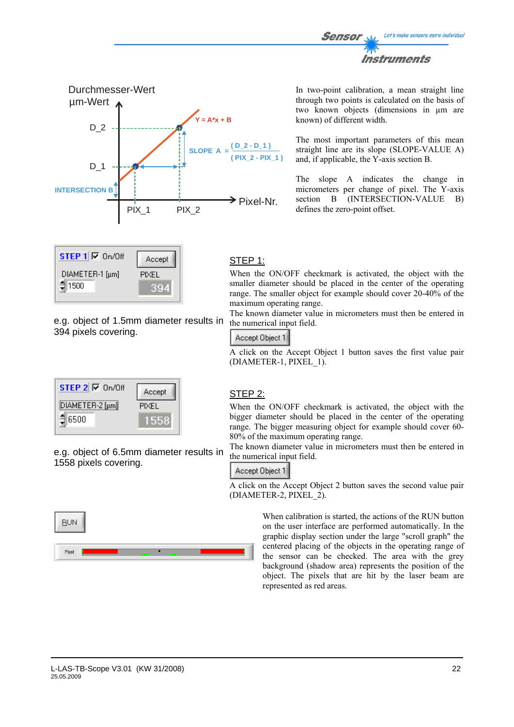

| $STEP 1 \nabla$ On/Off | Accept |
|------------------------|--------|
| DIAMETER-1 [µm]        | PIXEL  |
| $\frac{1}{2}$ 1500     |        |

e.g. object of 1.5mm diameter results in 394 pixels covering.

| STEP $2 \nabla$ On/Off | Accept       |
|------------------------|--------------|
| DIAMETER-2 [µm]        | <b>PIXEL</b> |
| $\P6500$               | 1558         |

e.g. object of 6.5mm diameter results in 1558 pixels covering.



In two-point calibration, a mean straight line through two points is calculated on the basis of two known objects (dimensions in µm are known) of different width.

The most important parameters of this mean straight line are its slope (SLOPE-VALUE A) and, if applicable, the Y-axis section B.

The slope A indicates the change in micrometers per change of pixel. The Y-axis section B (INTERSECTION-VALUE B) defines the zero-point offset.

# STEP 1:

When the ON/OFF checkmark is activated, the object with the smaller diameter should be placed in the center of the operating range. The smaller object for example should cover 20-40% of the maximum operating range.

The known diameter value in micrometers must then be entered in the numerical input field.

#### Accept Object 1

A click on the Accept Object 1 button saves the first value pair (DIAMETER-1, PIXEL\_1).

#### STEP 2:

When the ON/OFF checkmark is activated, the object with the bigger diameter should be placed in the center of the operating range. The bigger measuring object for example should cover 60- 80% of the maximum operating range.

The known diameter value in micrometers must then be entered in the numerical input field.

#### Accept Object 1

A click on the Accept Object 2 button saves the second value pair (DIAMETER-2, PIXEL\_2).

> When calibration is started, the actions of the RUN button on the user interface are performed automatically. In the graphic display section under the large "scroll graph" the centered placing of the objects in the operating range of the sensor can be checked. The area with the grey background (shadow area) represents the position of the object. The pixels that are hit by the laser beam are represented as red areas.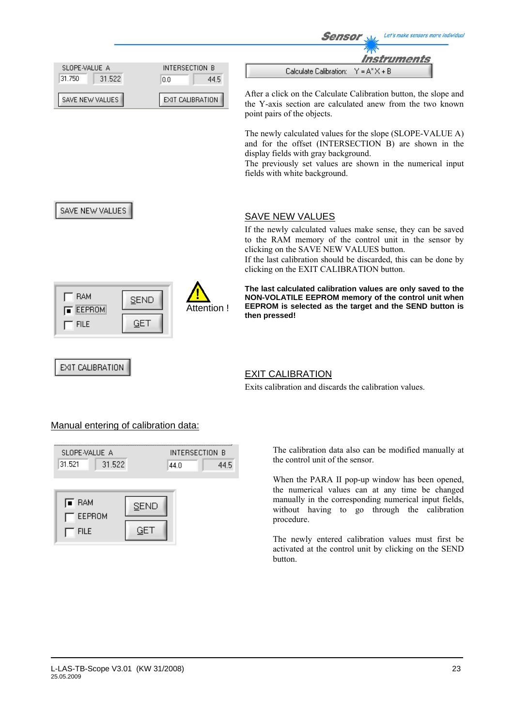

### Exits calibration and discards the calibration values.

## Manual entering of calibration data:

| SLOPE-VALUE A |        | INTERSECTION B |      |
|---------------|--------|----------------|------|
| 31.521        | 31.522 | 44.O           | 44.5 |
|               |        |                |      |



The calibration data also can be modified manually at the control unit of the sensor.

When the PARA II pop-up window has been opened. the numerical values can at any time be changed manually in the corresponding numerical input fields, without having to go through the calibration procedure.

The newly entered calibration values must first be activated at the control unit by clicking on the SEND button.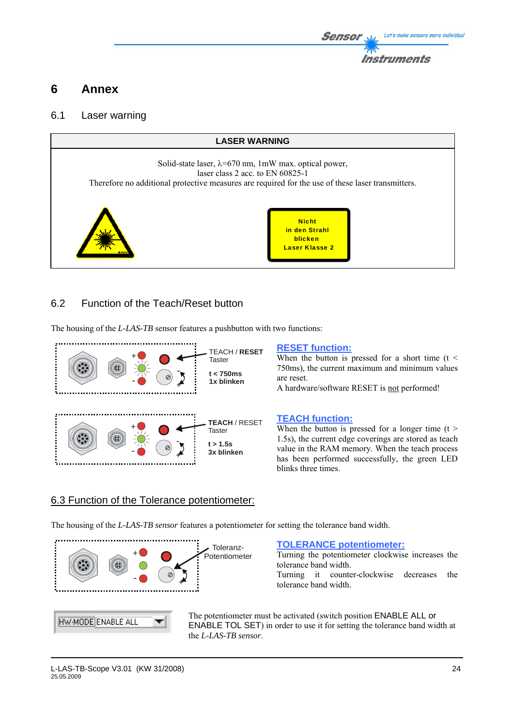

# **6 Annex**

# 6.1 Laser warning



# 6.2 Function of the Teach/Reset button

The housing of the *L-LAS-TB* sensor features a pushbutton with two functions:



#### **RESET function:**

When the button is pressed for a short time  $(t <$ 750ms), the current maximum and minimum values are reset.

A hardware/software RESET is not performed!

#### **TEACH function:**

When the button is pressed for a longer time  $(t >$ 1.5s), the current edge coverings are stored as teach value in the RAM memory. When the teach process has been performed successfully, the green LED blinks three times.

#### 6.3 Function of the Tolerance potentiometer:

The housing of the *L-LAS-TB sensor* features a potentiometer for setting the tolerance band width.



#### **TOLERANCE potentiometer:**

Turning the potentiometer clockwise increases the tolerance band width. Turning it counter-clockwise decreases the tolerance band width.



The potentiometer must be activated (switch position ENABLE ALL or ENABLE TOL SET) in order to use it for setting the tolerance band width at the *L-LAS-TB sensor*.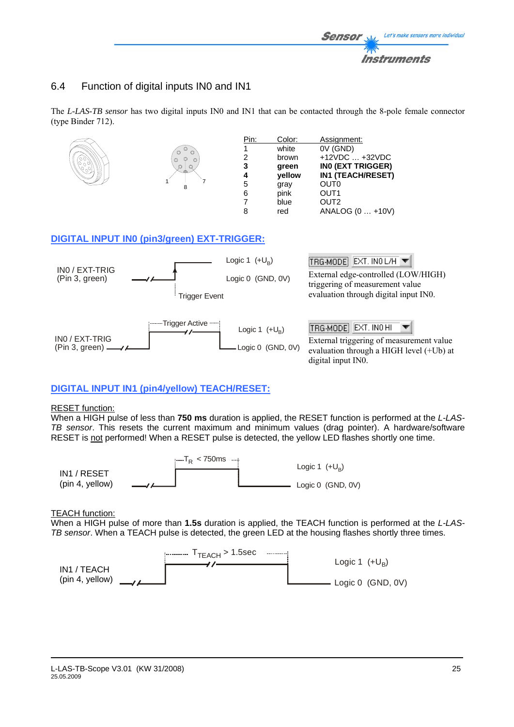# 6.4 Function of digital inputs IN0 and IN1

The *L-LAS-TB sensor* has two digital inputs IN0 and IN1 that can be contacted through the 8-pole female connector (type Binder 712).



## **DIGITAL INPUT IN1 (pin4/yellow) TEACH/RESET:**

#### RESET function:

When a HIGH pulse of less than **750 ms** duration is applied, the RESET function is performed at the *L-LAS-TB sensor*. This resets the current maximum and minimum values (drag pointer). A hardware/software RESET is not performed! When a RESET pulse is detected, the yellow LED flashes shortly one time.



TEACH function:

When a HIGH pulse of more than **1.5s** duration is applied, the TEACH function is performed at the *L-LAS-TB sensor*. When a TEACH pulse is detected, the green LED at the housing flashes shortly three times.

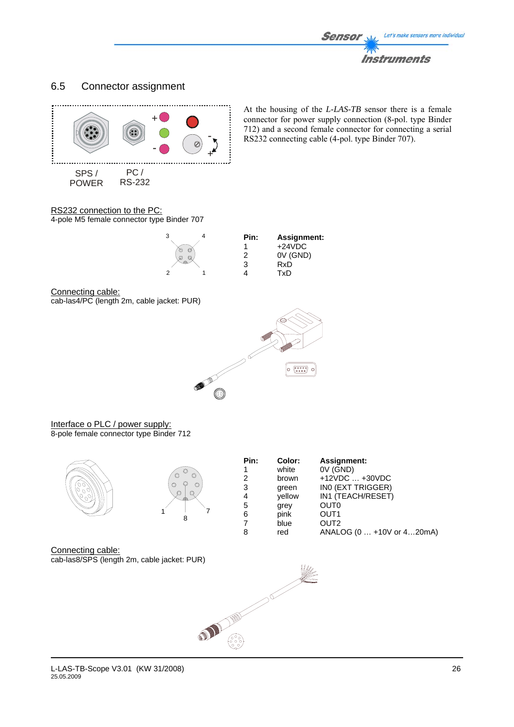

# 6.5 Connector assignment



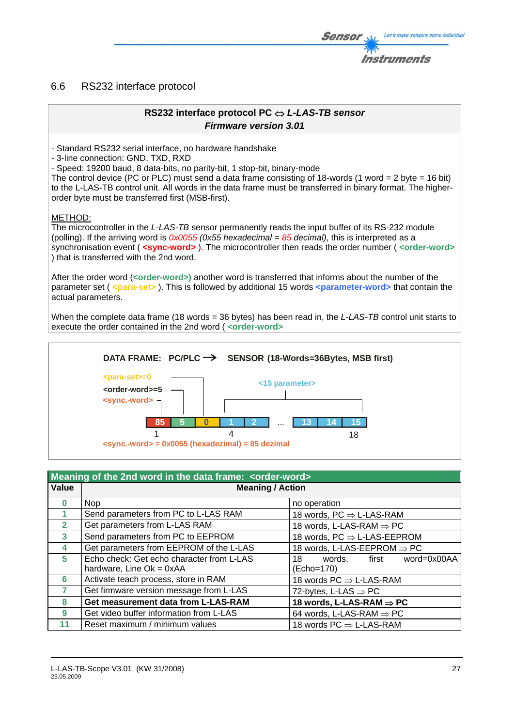# 6.6 RS232 interface protocol

### **RS232 interface protocol PC** ⇔ *L-LAS-TB sensor Firmware version 3.01*

- Standard RS232 serial interface, no hardware handshake

- 3-line connection: GND, TXD, RXD

- Speed: 19200 baud, 8 data-bits, no parity-bit, 1 stop-bit, binary-mode

The control device (PC or PLC) must send a data frame consisting of 18-words (1 word  $= 2$  byte  $= 16$  bit) to the L-LAS-TB control unit. All words in the data frame must be transferred in binary format. The higherorder byte must be transferred first (MSB-first).

#### METHOD:

The microcontroller in the *L-LAS-TB* sensor permanently reads the input buffer of its RS-232 module (polling). If the arriving word is *0x0055 (0x55 hexadecimal = 85 decimal)*, this is interpreted as a synchronisation event ( **<sync-word>** ). The microcontroller then reads the order number ( *<***order-word>** ) that is transferred with the 2nd word.

After the order word (*<***order-word>)** another word is transferred that informs about the number of the parameter set ( *<***para-set>** ). This is followed by additional 15 words **<parameter-word>** that contain the actual parameters.

When the complete data frame (18 words = 36 bytes) has been read in, the *L-LAS-TB* control unit starts to execute the order contained in the 2nd word ( *<***order-word>**



|              | Meaning of the 2nd word in the data frame: <order-word></order-word>  |                                              |  |
|--------------|-----------------------------------------------------------------------|----------------------------------------------|--|
| Value        | <b>Meaning / Action</b>                                               |                                              |  |
| $\Omega$     | Nop.                                                                  | no operation                                 |  |
|              | Send parameters from PC to L-LAS RAM                                  | 18 words, $PC \Rightarrow L\text{-LAS-RAM}$  |  |
| $\mathbf{2}$ | Get parameters from L-LAS RAM                                         | 18 words, L-LAS-RAM $\Rightarrow$ PC         |  |
| 3            | Send parameters from PC to EEPROM                                     | 18 words, PC ⇒ L-LAS-EEPROM                  |  |
| 4            | Get parameters from EEPROM of the L-LAS                               | 18 words, L-LAS-EEPROM $\Rightarrow$ PC      |  |
| 5            | Echo check: Get echo character from L-LAS<br>hardware, Line Ok = 0xAA | words, first word=0x00AA<br>18<br>(Echo=170) |  |
| 6            | Activate teach process, store in RAM                                  | 18 words $PC \Rightarrow L\text{-LAS-RAM}$   |  |
| 7            | Get firmware version message from L-LAS                               | 72-bytes, L-LAS $\Rightarrow$ PC             |  |
| 8            | Get measurement data from L-LAS-RAM                                   | 18 words, L-LAS-RAM $\Rightarrow$ PC         |  |
| 9            | Get video buffer information from L-LAS                               | 64 words, L-LAS-RAM $\Rightarrow$ PC         |  |
|              | Reset maximum / minimum values                                        | 18 words $PC \Rightarrow L\text{-LAS-RAM}$   |  |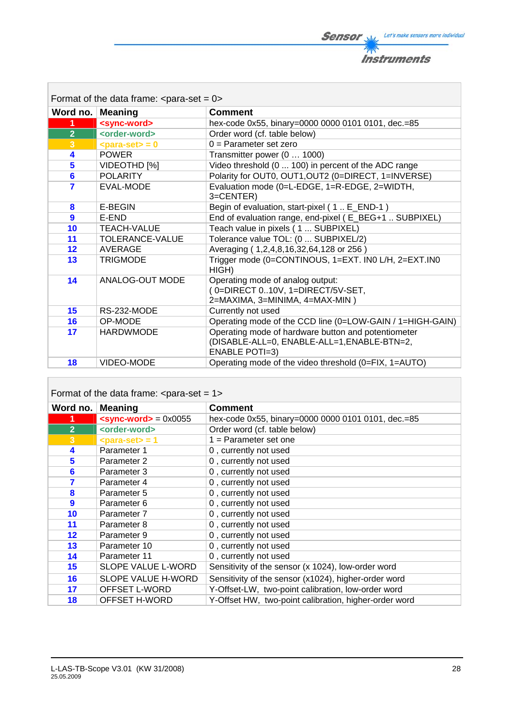

| Format of the data frame: $\epsilon$ -para-set = 0> |                           |                                                                                                                             |
|-----------------------------------------------------|---------------------------|-----------------------------------------------------------------------------------------------------------------------------|
| Word no. $ $                                        | <b>Meaning</b>            | <b>Comment</b>                                                                                                              |
| 1                                                   | <sync-word></sync-word>   | hex-code 0x55, binary=0000 0000 0101 0101, dec.=85                                                                          |
| 2 <sup>1</sup>                                      | <order-word></order-word> | Order word (cf. table below)                                                                                                |
| 3                                                   | $<$ para-set $>$ = 0      | $0 =$ Parameter set zero                                                                                                    |
| 4                                                   | <b>POWER</b>              | Transmitter power (0  1000)                                                                                                 |
| 5                                                   | VIDEOTHD [%]              | Video threshold (0  100) in percent of the ADC range                                                                        |
| $6\phantom{1}6$                                     | <b>POLARITY</b>           | Polarity for OUT0, OUT1, OUT2 (0=DIRECT, 1=INVERSE)                                                                         |
| 7                                                   | EVAL-MODE                 | Evaluation mode (0=L-EDGE, 1=R-EDGE, 2=WIDTH,<br>3=CENTER)                                                                  |
| 8                                                   | E-BEGIN                   | Begin of evaluation, start-pixel (1. E_END-1)                                                                               |
| 9                                                   | E-END                     | End of evaluation range, end-pixel (E_BEG+1  SUBPIXEL)                                                                      |
| 10                                                  | TEACH-VALUE               | Teach value in pixels (1 SUBPIXEL)                                                                                          |
| 11                                                  | <b>TOLERANCE-VALUE</b>    | Tolerance value TOL: (0  SUBPIXEL/2)                                                                                        |
| 12                                                  | AVERAGE                   | Averaging (1,2,4,8,16,32,64,128 or 256)                                                                                     |
| 13                                                  | <b>TRIGMODE</b>           | Trigger mode (0=CONTINOUS, 1=EXT. IN0 L/H, 2=EXT.IN0<br>HIGH)                                                               |
| 14                                                  | ANALOG-OUT MODE           | Operating mode of analog output:<br>(0=DIRECT 010V, 1=DIRECT/5V-SET,<br>2=MAXIMA, 3=MINIMA, 4=MAX-MIN)                      |
| 15                                                  | RS-232-MODE               | Currently not used                                                                                                          |
| 16                                                  | OP-MODE                   | Operating mode of the CCD line (0=LOW-GAIN / 1=HIGH-GAIN)                                                                   |
| 17                                                  | <b>HARDWMODE</b>          | Operating mode of hardware button and potentiometer<br>(DISABLE-ALL=0, ENABLE-ALL=1, ENABLE-BTN=2,<br><b>ENABLE POTI=3)</b> |
| 18                                                  | <b>VIDEO-MODE</b>         | Operating mode of the video threshold (0=FIX, 1=AUTO)                                                                       |

# Format of the data frame:  $\epsilon$  = 1>

| Word no.       | <b>Meaning</b>            | <b>Comment</b>                                        |
|----------------|---------------------------|-------------------------------------------------------|
| 1              | $\le$ sync-word> = 0x0055 | hex-code 0x55, binary=0000 0000 0101 0101, dec.=85    |
| 2 <sup>1</sup> | <order-word></order-word> | Order word (cf. table below)                          |
| 3 <sup>2</sup> | $<$ para-set $>$ = 1      | $1 =$ Parameter set one                               |
| 4              | Parameter 1               | 0, currently not used                                 |
| $5\phantom{1}$ | Parameter 2               | 0, currently not used                                 |
| 6              | Parameter 3               | 0, currently not used                                 |
| 7              | Parameter 4               | 0, currently not used                                 |
| 8              | Parameter 5               | 0, currently not used                                 |
| 9              | Parameter 6               | 0, currently not used                                 |
| 10             | Parameter 7               | 0, currently not used                                 |
| 11             | Parameter 8               | 0, currently not used                                 |
| 12             | Parameter 9               | 0, currently not used                                 |
| 13             | Parameter 10              | 0, currently not used                                 |
| 14             | Parameter 11              | 0, currently not used                                 |
| 15             | <b>SLOPE VALUE L-WORD</b> | Sensitivity of the sensor (x 1024), low-order word    |
| 16             | <b>SLOPE VALUE H-WORD</b> | Sensitivity of the sensor (x1024), higher-order word  |
| 17             | <b>OFFSET L-WORD</b>      | Y-Offset-LW, two-point calibration, low-order word    |
| 18             | OFFSET H-WORD             | Y-Offset HW, two-point calibration, higher-order word |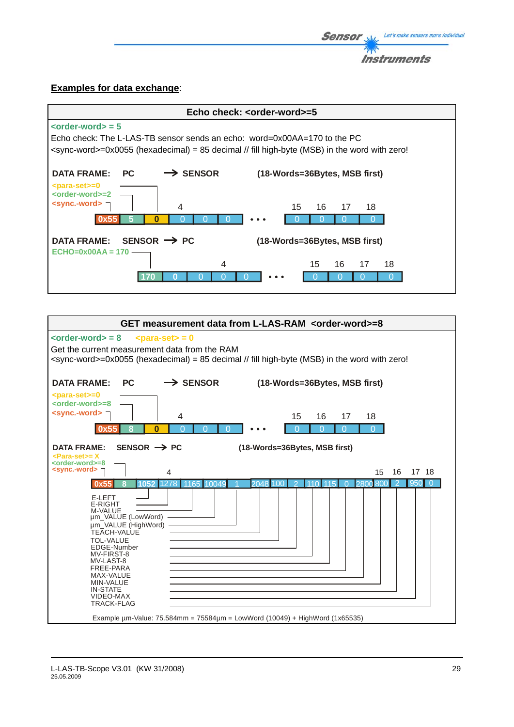

### **Examples for data exchange**:



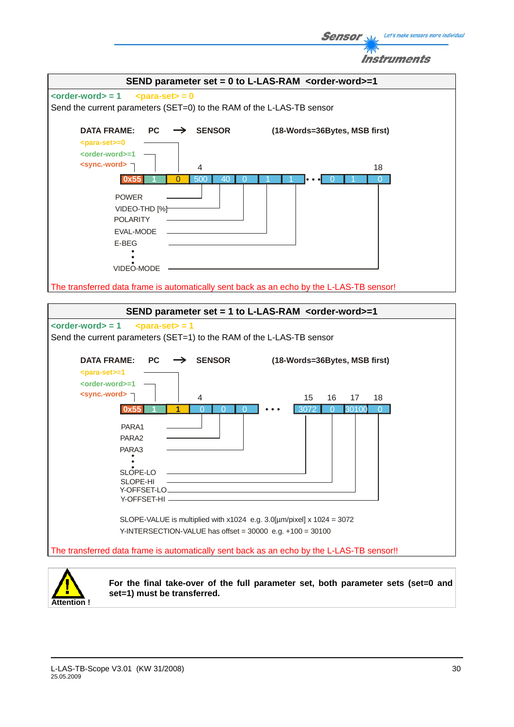



**For the final take-over of the full parameter set, both parameter sets (set=0 and set=1) must be transferred.**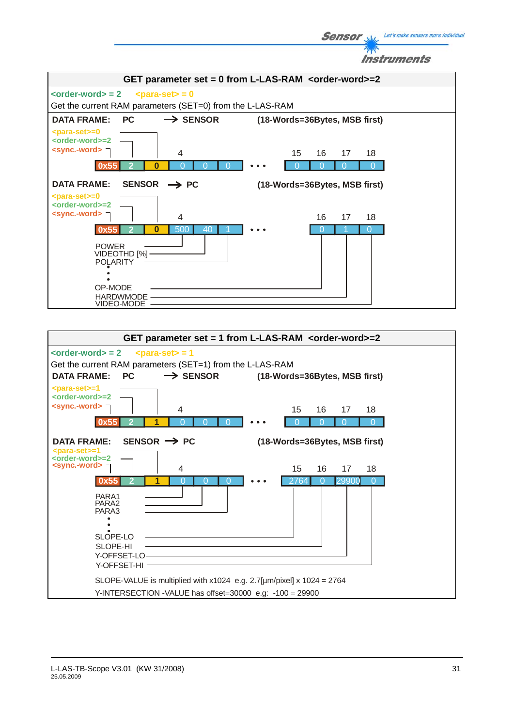